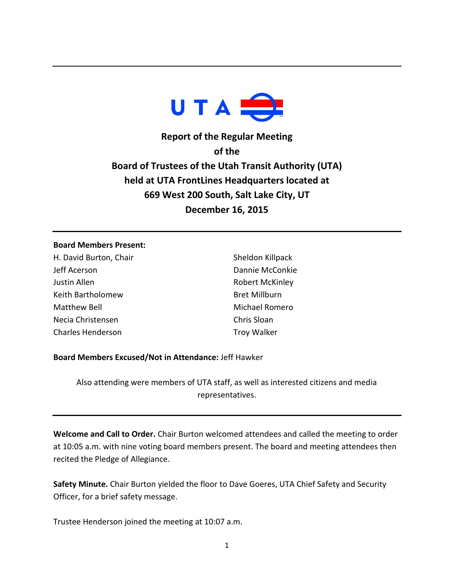

**Report of the Regular Meeting of the Board of Trustees of the Utah Transit Authority (UTA) held at UTA FrontLines Headquarters located at 669 West 200 South, Salt Lake City, UT December 16, 2015**

#### **Board Members Present:**

H. David Burton, Chair Jeff Acerson Justin Allen Keith Bartholomew Matthew Bell Necia Christensen Charles Henderson

Sheldon Killpack Dannie McConkie Robert McKinley Bret Millburn Michael Romero Chris Sloan Troy Walker

## **Board Members Excused/Not in Attendance:** Jeff Hawker

Also attending were members of UTA staff, as well as interested citizens and media representatives.

**Welcome and Call to Order.** Chair Burton welcomed attendees and called the meeting to order at 10:05 a.m. with nine voting board members present. The board and meeting attendees then recited the Pledge of Allegiance.

**Safety Minute.** Chair Burton yielded the floor to Dave Goeres, UTA Chief Safety and Security Officer, for a brief safety message.

Trustee Henderson joined the meeting at 10:07 a.m.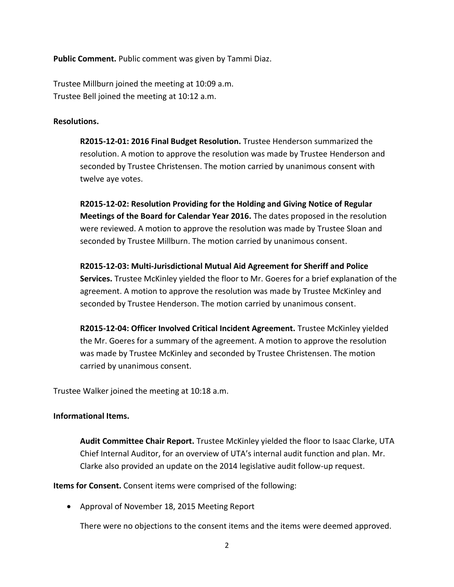**Public Comment.** Public comment was given by Tammi Diaz.

Trustee Millburn joined the meeting at 10:09 a.m. Trustee Bell joined the meeting at 10:12 a.m.

#### **Resolutions.**

**R2015-12-01: 2016 Final Budget Resolution.** Trustee Henderson summarized the resolution. A motion to approve the resolution was made by Trustee Henderson and seconded by Trustee Christensen. The motion carried by unanimous consent with twelve aye votes.

**R2015-12-02: Resolution Providing for the Holding and Giving Notice of Regular Meetings of the Board for Calendar Year 2016.** The dates proposed in the resolution were reviewed. A motion to approve the resolution was made by Trustee Sloan and seconded by Trustee Millburn. The motion carried by unanimous consent.

**R2015-12-03: Multi-Jurisdictional Mutual Aid Agreement for Sheriff and Police Services.** Trustee McKinley yielded the floor to Mr. Goeres for a brief explanation of the agreement. A motion to approve the resolution was made by Trustee McKinley and seconded by Trustee Henderson. The motion carried by unanimous consent.

**R2015-12-04: Officer Involved Critical Incident Agreement.** Trustee McKinley yielded the Mr. Goeres for a summary of the agreement. A motion to approve the resolution was made by Trustee McKinley and seconded by Trustee Christensen. The motion carried by unanimous consent.

Trustee Walker joined the meeting at 10:18 a.m.

## **Informational Items.**

**Audit Committee Chair Report.** Trustee McKinley yielded the floor to Isaac Clarke, UTA Chief Internal Auditor, for an overview of UTA's internal audit function and plan. Mr. Clarke also provided an update on the 2014 legislative audit follow-up request.

**Items for Consent.** Consent items were comprised of the following:

Approval of November 18, 2015 Meeting Report

There were no objections to the consent items and the items were deemed approved.